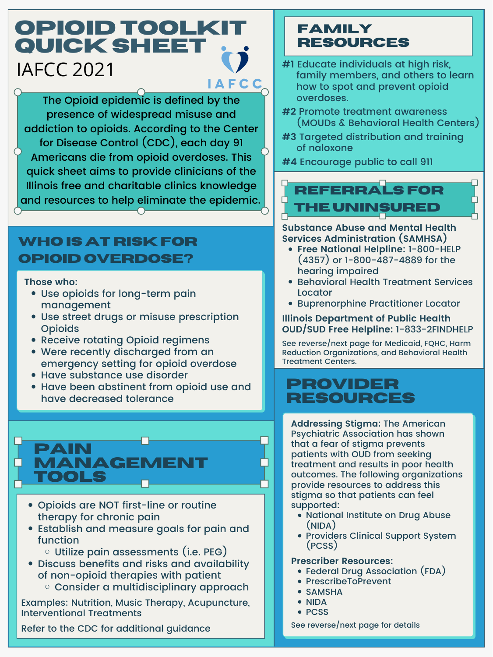- Use opioids for long-term pain management
- Use street drugs or misuse prescription **Opioids**
- Receive rotating Opioid regimens

## **Who is at riskfor opioid Overdose?**

- 
- 
- Were recently discharged from an emergency setting for opioid overdose
- Have substance use disorder
- Have been abstinent from opioid use and have decreased tolerance

### **Those who:**

### **Family Resources**

- **#1** Educate individuals at high risk, family members, and others to learn how to spot and prevent opioid overdoses.
- **#2** Promote treatment awareness (MOUDs & Behavioral Health Centers)
- **#3** Targeted distribution and training of naloxone

**#4** Encourage public to call 911

# **Referrals For the uninsured**

- **Free National Helpline:** 1-800-HELP (4357) or 1-800-487-4889 for the hearing impaired
- Behavioral Health Treatment Services Locator
- Buprenorphine Practitioner Locator

- Federal Drug Association (FDA)
- PrescribeToPrevent
- SAMSHA
- NIDA
- PCSS

**Substance Abuse and Mental Health Services Administration (SAMHSA)**

**Illinois Department of Public Health OUD/SUD Free Helpline:** 1-833-2FINDHELP

See reverse/next page for Medicaid, FQHC, Harm Reduction Organizations, and Behavioral Health Treatment Centers.

Examples: Nutrition, Music Therapy, Acupuncture, Interventional Treatments

Refer to the CDC for additional guidance

### **Pain MANAGEM tools**

- Opioids are NOT first-line or routine therapy for chronic pain
- Establish and measure goals for pain and function
	- $\circ$  Utilize pain assessments (i.e. PEG)
- Discuss benefits and risks and availability of non-opioid therapies with patient
	- o Consider a multidisciplinary approach

### **Provider Resources**

- **Addressing Stigma:** The American Psychiatric Association has shown that a fear of stigma prevents patients with OUD from seeking treatment and results in poor health outcomes. The following organizations provide resources to address this stigma so that patients can feel supported:
	- National Institute on Drug Abuse (NIDA)
	- Providers Clinical Support System (PCSS)

### **Prescriber Resources:**

See reverse/next page for details

# **Opioid Toolkit QUICK SHEET** IAFCC 2021 **AFCC**

The Opioid epidemic is defined by the presence of widespread misuse and addiction to opioids. According to the Center for Disease Control (CDC), each day 91 Americans die from opioid overdoses. This quick sheet aims to provide clinicians of the Illinois free and charitable clinics knowledge and resources to help eliminate the epidemic.